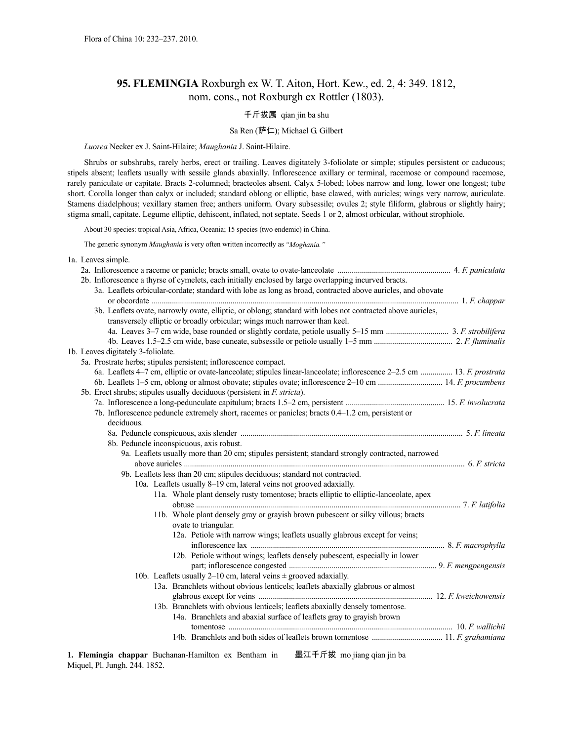1a. Leaves simple.

# **95. FLEMINGIA** Roxburgh ex W. T. Aiton, Hort. Kew., ed. 2, 4: 349. 1812, nom. cons., not Roxburgh ex Rottler (1803).

# 千斤拔属 qian jin ba shu

# Sa Ren (萨仁); Michael G. Gilbert

*Luorea* Necker ex J. Saint-Hilaire; *Maughania* J. Saint-Hilaire.

Shrubs or subshrubs, rarely herbs, erect or trailing. Leaves digitately 3-foliolate or simple; stipules persistent or caducous; stipels absent; leaflets usually with sessile glands abaxially. Inflorescence axillary or terminal, racemose or compound racemose, rarely paniculate or capitate. Bracts 2-columned; bracteoles absent. Calyx 5-lobed; lobes narrow and long, lower one longest; tube short. Corolla longer than calyx or included; standard oblong or elliptic, base clawed, with auricles; wings very narrow, auriculate. Stamens diadelphous; vexillary stamen free; anthers uniform. Ovary subsessile; ovules 2; style filiform, glabrous or slightly hairy; stigma small, capitate. Legume elliptic, dehiscent, inflated, not septate. Seeds 1 or 2, almost orbicular, without strophiole.

About 30 species: tropical Asia, Africa, Oceania; 15 species (two endemic) in China.

The generic synonym *Maughania* is very often written incorrectly as *"Moghania."*

|  | 2b. Inflorescence a thyrse of cymelets, each initially enclosed by large overlapping incurved bracts.                   |  |
|--|-------------------------------------------------------------------------------------------------------------------------|--|
|  | 3a. Leaflets orbicular-cordate; standard with lobe as long as broad, contracted above auricles, and obovate             |  |
|  |                                                                                                                         |  |
|  | 3b. Leaflets ovate, narrowly ovate, elliptic, or oblong; standard with lobes not contracted above auricles,             |  |
|  | transversely elliptic or broadly orbicular; wings much narrower than keel.                                              |  |
|  |                                                                                                                         |  |
|  |                                                                                                                         |  |
|  | 1b. Leaves digitately 3-foliolate.                                                                                      |  |
|  | 5a. Prostrate herbs; stipules persistent; inflorescence compact.                                                        |  |
|  | 6a. Leaflets 4–7 cm, elliptic or ovate-lanceolate; stipules linear-lanceolate; inflorescence 2–2.5 cm  13. F. prostrata |  |
|  |                                                                                                                         |  |
|  | 5b. Erect shrubs; stipules usually deciduous (persistent in <i>F. stricta</i> ).                                        |  |
|  |                                                                                                                         |  |
|  | 7b. Inflorescence peduncle extremely short, racemes or panicles; bracts 0.4–1.2 cm, persistent or                       |  |
|  | deciduous.                                                                                                              |  |
|  |                                                                                                                         |  |
|  | 8b. Peduncle inconspicuous, axis robust.                                                                                |  |
|  | 9a. Leaflets usually more than 20 cm; stipules persistent; standard strongly contracted, narrowed                       |  |
|  |                                                                                                                         |  |
|  | 9b. Leaflets less than 20 cm; stipules deciduous; standard not contracted.                                              |  |
|  | 10a. Leaflets usually 8–19 cm, lateral veins not grooved adaxially.                                                     |  |
|  | 11a. Whole plant densely rusty tomentose; bracts elliptic to elliptic-lanceolate, apex                                  |  |
|  |                                                                                                                         |  |
|  | 11b. Whole plant densely gray or grayish brown pubescent or silky villous; bracts                                       |  |
|  | ovate to triangular.                                                                                                    |  |
|  | 12a. Petiole with narrow wings; leaflets usually glabrous except for veins;                                             |  |
|  |                                                                                                                         |  |
|  | 12b. Petiole without wings; leaflets densely pubescent, especially in lower                                             |  |
|  |                                                                                                                         |  |
|  |                                                                                                                         |  |
|  | 10b. Leaflets usually 2–10 cm, lateral veins $\pm$ grooved adaxially.                                                   |  |
|  | 13a. Branchlets without obvious lenticels; leaflets abaxially glabrous or almost                                        |  |
|  |                                                                                                                         |  |
|  | 13b. Branchlets with obvious lenticels; leaflets abaxially densely tomentose.                                           |  |
|  | 14a. Branchlets and abaxial surface of leaflets gray to grayish brown                                                   |  |
|  |                                                                                                                         |  |
|  |                                                                                                                         |  |

**1. Flemingia chappar** Buchanan-Hamilton ex Bentham in Miquel, Pl. Jungh. 244. 1852. 墨江千斤拔 mo jiang qian jin ba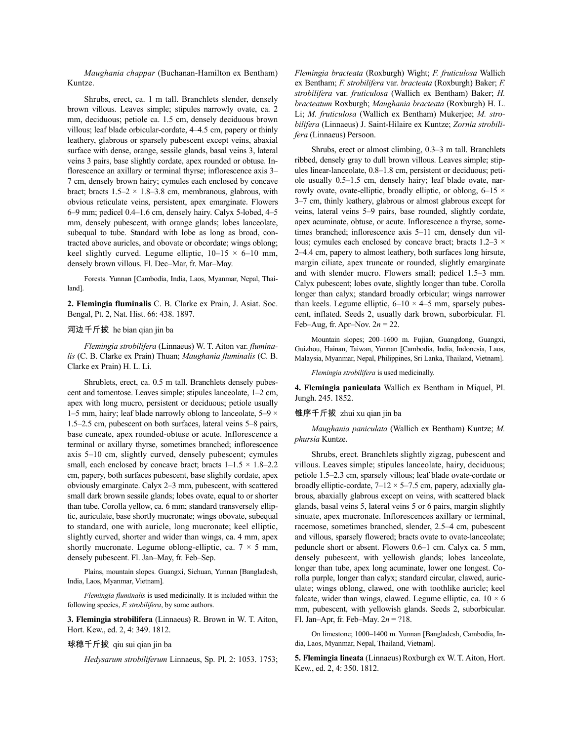*Maughania chappar* (Buchanan-Hamilton ex Bentham) Kuntze.

Shrubs, erect, ca. 1 m tall. Branchlets slender, densely brown villous. Leaves simple; stipules narrowly ovate, ca. 2 mm, deciduous; petiole ca. 1.5 cm, densely deciduous brown villous; leaf blade orbicular-cordate, 4–4.5 cm, papery or thinly leathery, glabrous or sparsely pubescent except veins, abaxial surface with dense, orange, sessile glands, basal veins 3, lateral veins 3 pairs, base slightly cordate, apex rounded or obtuse. Inflorescence an axillary or terminal thyrse; inflorescence axis 3– 7 cm, densely brown hairy; cymules each enclosed by concave bract; bracts  $1.5-2 \times 1.8-3.8$  cm, membranous, glabrous, with obvious reticulate veins, persistent, apex emarginate. Flowers 6–9 mm; pedicel 0.4–1.6 cm, densely hairy. Calyx 5-lobed, 4–5 mm, densely pubescent, with orange glands; lobes lanceolate, subequal to tube. Standard with lobe as long as broad, contracted above auricles, and obovate or obcordate; wings oblong; keel slightly curved. Legume elliptic,  $10-15 \times 6-10$  mm, densely brown villous. Fl. Dec–Mar, fr. Mar–May.

Forests. Yunnan [Cambodia, India, Laos, Myanmar, Nepal, Thailand].

**2. Flemingia fluminalis** C. B. Clarke ex Prain, J. Asiat. Soc. Bengal, Pt. 2, Nat. Hist. 66: 438. 1897.

#### 河边千斤拔 he bian qian jin ba

*Flemingia strobilifera* (Linnaeus) W. T. Aiton var. *fluminalis* (C. B. Clarke ex Prain) Thuan; *Maughania fluminalis* (C. B. Clarke ex Prain) H. L. Li.

Shrublets, erect, ca. 0.5 m tall. Branchlets densely pubescent and tomentose. Leaves simple; stipules lanceolate, 1–2 cm, apex with long mucro, persistent or deciduous; petiole usually 1–5 mm, hairy; leaf blade narrowly oblong to lanceolate,  $5-9 \times$ 1.5–2.5 cm, pubescent on both surfaces, lateral veins 5–8 pairs, base cuneate, apex rounded-obtuse or acute. Inflorescence a terminal or axillary thyrse, sometimes branched; inflorescence axis 5–10 cm, slightly curved, densely pubescent; cymules small, each enclosed by concave bract; bracts  $1-1.5 \times 1.8-2.2$ cm, papery, both surfaces pubescent, base slightly cordate, apex obviously emarginate. Calyx 2–3 mm, pubescent, with scattered small dark brown sessile glands; lobes ovate, equal to or shorter than tube. Corolla yellow, ca. 6 mm; standard transversely elliptic, auriculate, base shortly mucronate; wings obovate, subequal to standard, one with auricle, long mucronate; keel elliptic, slightly curved, shorter and wider than wings, ca. 4 mm, apex shortly mucronate. Legume oblong-elliptic, ca.  $7 \times 5$  mm, densely pubescent. Fl. Jan–May, fr. Feb–Sep.

Plains, mountain slopes. Guangxi, Sichuan, Yunnan [Bangladesh, India, Laos, Myanmar, Vietnam].

*Flemingia fluminalis* is used medicinally. It is included within the following species, *F. strobilifera*, by some authors.

**3. Flemingia strobilifera** (Linnaeus) R. Brown in W. T. Aiton, Hort. Kew., ed. 2, 4: 349. 1812.

# 球穗千斤拔 qiu sui qian jin ba

*Hedysarum strobiliferum* Linnaeus, Sp. Pl. 2: 1053. 1753;

*Flemingia bracteata* (Roxburgh) Wight; *F. fruticulosa* Wallich ex Bentham; *F. strobilifera* var. *bracteata* (Roxburgh) Baker; *F. strobilifera* var. *fruticulosa* (Wallich ex Bentham) Baker; *H. bracteatum* Roxburgh; *Maughania bracteata* (Roxburgh) H. L. Li; *M. fruticulosa* (Wallich ex Bentham) Mukerjee; *M. strobilifera* (Linnaeus) J. Saint-Hilaire ex Kuntze; *Zornia strobilifera* (Linnaeus) Persoon.

Shrubs, erect or almost climbing, 0.3–3 m tall. Branchlets ribbed, densely gray to dull brown villous. Leaves simple; stipules linear-lanceolate, 0.8–1.8 cm, persistent or deciduous; petiole usually 0.5–1.5 cm, densely hairy; leaf blade ovate, narrowly ovate, ovate-elliptic, broadly elliptic, or oblong,  $6-15 \times$ 3–7 cm, thinly leathery, glabrous or almost glabrous except for veins, lateral veins 5–9 pairs, base rounded, slightly cordate, apex acuminate, obtuse, or acute. Inflorescence a thyrse, sometimes branched; inflorescence axis 5–11 cm, densely dun villous; cymules each enclosed by concave bract; bracts  $1.2-3 \times$ 2–4.4 cm, papery to almost leathery, both surfaces long hirsute, margin ciliate, apex truncate or rounded, slightly emarginate and with slender mucro. Flowers small; pedicel 1.5–3 mm. Calyx pubescent; lobes ovate, slightly longer than tube. Corolla longer than calyx; standard broadly orbicular; wings narrower than keels. Legume elliptic,  $6-10 \times 4-5$  mm, sparsely pubescent, inflated. Seeds 2, usually dark brown, suborbicular. Fl. Feb–Aug, fr. Apr–Nov.  $2n = 22$ .

Mountain slopes; 200–1600 m. Fujian, Guangdong, Guangxi, Guizhou, Hainan, Taiwan, Yunnan [Cambodia, India, Indonesia, Laos, Malaysia, Myanmar, Nepal, Philippines, Sri Lanka, Thailand, Vietnam].

*Flemingia strobilifera* is used medicinally.

**4. Flemingia paniculata** Wallich ex Bentham in Miquel, Pl. Jungh. 245. 1852.

#### 锥序千斤拔 zhui xu qian jin ba

*Maughania paniculata* (Wallich ex Bentham) Kuntze; *M. phursia* Kuntze.

Shrubs, erect. Branchlets slightly zigzag, pubescent and villous. Leaves simple; stipules lanceolate, hairy, deciduous; petiole 1.5–2.3 cm, sparsely villous; leaf blade ovate-cordate or broadly elliptic-cordate,  $7-12 \times 5-7.5$  cm, papery, adaxially glabrous, abaxially glabrous except on veins, with scattered black glands, basal veins 5, lateral veins 5 or 6 pairs, margin slightly sinuate, apex mucronate. Inflorescences axillary or terminal, racemose, sometimes branched, slender, 2.5–4 cm, pubescent and villous, sparsely flowered; bracts ovate to ovate-lanceolate; peduncle short or absent. Flowers 0.6–1 cm. Calyx ca. 5 mm, densely pubescent, with yellowish glands; lobes lanceolate, longer than tube, apex long acuminate, lower one longest. Corolla purple, longer than calyx; standard circular, clawed, auriculate; wings oblong, clawed, one with toothlike auricle; keel falcate, wider than wings, clawed. Legume elliptic, ca.  $10 \times 6$ mm, pubescent, with yellowish glands. Seeds 2, suborbicular. Fl. Jan–Apr, fr. Feb–May. 2*n* = ?18.

On limestone; 1000–1400 m. Yunnan [Bangladesh, Cambodia, India, Laos, Myanmar, Nepal, Thailand, Vietnam].

**5. Flemingia lineata** (Linnaeus)Roxburgh ex W. T. Aiton, Hort. Kew., ed. 2, 4: 350. 1812.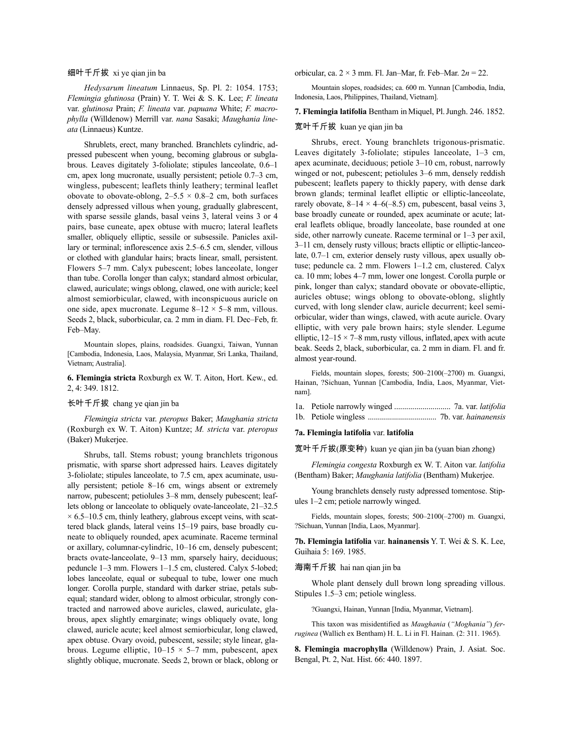# 细叶千斤拔 xi ye qian jin ba

*Hedysarum lineatum* Linnaeus, Sp. Pl. 2: 1054. 1753; *Flemingia glutinosa* (Prain) Y. T. Wei & S. K. Lee; *F. lineata* var. *glutinosa* Prain; *F. lineata* var. *papuana* White; *F. macrophylla* (Willdenow) Merrill var. *nana* Sasaki; *Maughania lineata* (Linnaeus) Kuntze.

Shrublets, erect, many branched. Branchlets cylindric, adpressed pubescent when young, becoming glabrous or subglabrous. Leaves digitately 3-foliolate; stipules lanceolate, 0.6–1 cm, apex long mucronate, usually persistent; petiole 0.7–3 cm, wingless, pubescent; leaflets thinly leathery; terminal leaflet obovate to obovate-oblong,  $2-5.5 \times 0.8-2$  cm, both surfaces densely adpressed villous when young, gradually glabrescent, with sparse sessile glands, basal veins 3, lateral veins 3 or 4 pairs, base cuneate, apex obtuse with mucro; lateral leaflets smaller, obliquely elliptic, sessile or subsessile. Panicles axillary or terminal; inflorescence axis 2.5–6.5 cm, slender, villous or clothed with glandular hairs; bracts linear, small, persistent. Flowers 5–7 mm. Calyx pubescent; lobes lanceolate, longer than tube. Corolla longer than calyx; standard almost orbicular, clawed, auriculate; wings oblong, clawed, one with auricle; keel almost semiorbicular, clawed, with inconspicuous auricle on one side, apex mucronate. Legume  $8-12 \times 5-8$  mm, villous. Seeds 2, black, suborbicular, ca. 2 mm in diam. Fl. Dec–Feb, fr. Feb–May.

Mountain slopes, plains, roadsides. Guangxi, Taiwan, Yunnan [Cambodia, Indonesia, Laos, Malaysia, Myanmar, Sri Lanka, Thailand, Vietnam; Australia].

# **6. Flemingia stricta** Roxburgh ex W. T. Aiton, Hort. Kew., ed. 2, 4: 349. 1812.

# 长叶千斤拔 chang ye qian jin ba

*Flemingia stricta* var. *pteropus* Baker; *Maughania stricta* (Roxburgh ex W. T. Aiton) Kuntze; *M. stricta* var. *pteropus* (Baker) Mukerjee.

Shrubs, tall. Stems robust; young branchlets trigonous prismatic, with sparse short adpressed hairs. Leaves digitately 3-foliolate; stipules lanceolate, to 7.5 cm, apex acuminate, usually persistent; petiole 8–16 cm, wings absent or extremely narrow, pubescent; petiolules 3–8 mm, densely pubescent; leaflets oblong or lanceolate to obliquely ovate-lanceolate, 21–32.5  $\times$  6.5–10.5 cm, thinly leathery, glabrous except veins, with scattered black glands, lateral veins 15–19 pairs, base broadly cuneate to obliquely rounded, apex acuminate. Raceme terminal or axillary, columnar-cylindric, 10–16 cm, densely pubescent; bracts ovate-lanceolate, 9–13 mm, sparsely hairy, deciduous; peduncle 1–3 mm. Flowers 1–1.5 cm, clustered. Calyx 5-lobed; lobes lanceolate, equal or subequal to tube, lower one much longer. Corolla purple, standard with darker striae, petals subequal; standard wider, oblong to almost orbicular, strongly contracted and narrowed above auricles, clawed, auriculate, glabrous, apex slightly emarginate; wings obliquely ovate, long clawed, auricle acute; keel almost semiorbicular, long clawed, apex obtuse. Ovary ovoid, pubescent, sessile; style linear, glabrous. Legume elliptic,  $10-15 \times 5-7$  mm, pubescent, apex slightly oblique, mucronate. Seeds 2, brown or black, oblong or orbicular, ca. 2 × 3 mm. Fl. Jan–Mar, fr. Feb–Mar. 2*n* = 22.

Mountain slopes, roadsides; ca. 600 m. Yunnan [Cambodia, India, Indonesia, Laos, Philippines, Thailand, Vietnam].

#### **7. Flemingia latifolia** Bentham inMiquel, Pl.Jungh. 246. 1852.

#### 宽叶千斤拔 kuan ye qian jin ba

Shrubs, erect. Young branchlets trigonous-prismatic. Leaves digitately 3-foliolate; stipules lanceolate, 1–3 cm, apex acuminate, deciduous; petiole 3–10 cm, robust, narrowly winged or not, pubescent; petiolules 3–6 mm, densely reddish pubescent; leaflets papery to thickly papery, with dense dark brown glands; terminal leaflet elliptic or elliptic-lanceolate, rarely obovate,  $8-14 \times 4-6(-8.5)$  cm, pubescent, basal veins 3, base broadly cuneate or rounded, apex acuminate or acute; lateral leaflets oblique, broadly lanceolate, base rounded at one side, other narrowly cuneate. Raceme terminal or 1–3 per axil, 3–11 cm, densely rusty villous; bracts elliptic or elliptic-lanceolate, 0.7–1 cm, exterior densely rusty villous, apex usually obtuse; peduncle ca. 2 mm. Flowers 1–1.2 cm, clustered. Calyx ca. 10 mm; lobes 4–7 mm, lower one longest. Corolla purple or pink, longer than calyx; standard obovate or obovate-elliptic, auricles obtuse; wings oblong to obovate-oblong, slightly curved, with long slender claw, auricle decurrent; keel semiorbicular, wider than wings, clawed, with acute auricle. Ovary elliptic, with very pale brown hairs; style slender. Legume elliptic,  $12-15 \times 7-8$  mm, rusty villous, inflated, apex with acute beak. Seeds 2, black, suborbicular, ca. 2 mm in diam. Fl. and fr. almost year-round.

Fields, mountain slopes, forests; 500–2100(–2700) m. Guangxi, Hainan, ?Sichuan, Yunnan [Cambodia, India, Laos, Myanmar, Vietnam].

|--|--|--|--|--|

1b. Petiole wingless .................................. 7b. var. *hainanensis*

# **7a. Flemingia latifolia** var. **latifolia**

宽叶千斤拔(原变种) kuan ye qian jin ba (yuan bian zhong)

*Flemingia congesta* Roxburgh ex W. T. Aiton var. *latifolia* (Bentham) Baker; *Maughania latifolia* (Bentham) Mukerjee.

Young branchlets densely rusty adpressed tomentose. Stipules 1–2 cm; petiole narrowly winged.

Fields, mountain slopes, forests; 500–2100(–2700) m. Guangxi, ?Sichuan, Yunnan [India, Laos, Myanmar].

**7b. Flemingia latifolia** var. **hainanensis** Y. T. Wei & S. K. Lee, Guihaia 5: 169. 1985.

#### 海南千斤拔 hai nan qian jin ba

Whole plant densely dull brown long spreading villous. Stipules 1.5–3 cm; petiole wingless.

?Guangxi, Hainan, Yunnan [India, Myanmar, Vietnam].

This taxon was misidentified as *Maughania* (*"Moghania"*) *ferruginea* (Wallich ex Bentham) H. L. Li in Fl. Hainan. (2: 311. 1965).

**8. Flemingia macrophylla** (Willdenow) Prain, J. Asiat. Soc. Bengal, Pt. 2, Nat. Hist. 66: 440. 1897.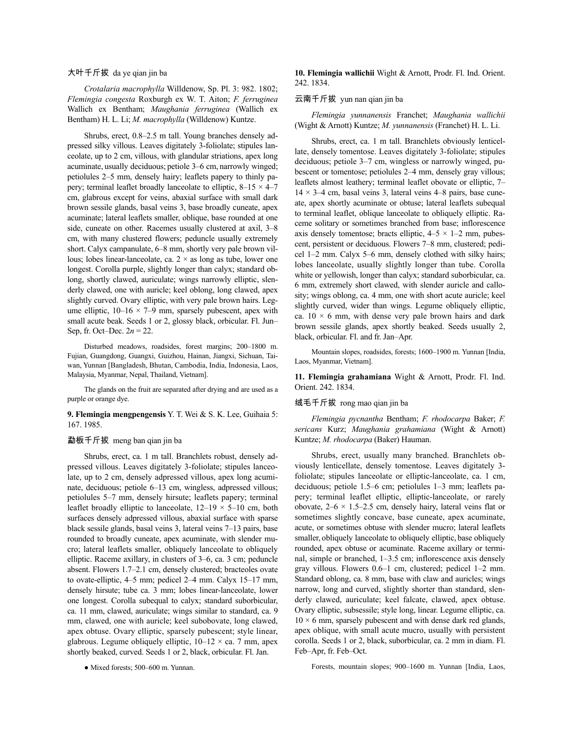#### 大叶千斤拔 da ye qian jin ba

*Crotalaria macrophylla* Willdenow, Sp. Pl. 3: 982. 1802; *Flemingia congesta* Roxburgh ex W. T. Aiton; *F. ferruginea* Wallich ex Bentham; *Maughania ferruginea* (Wallich ex Bentham) H. L. Li; *M. macrophylla* (Willdenow) Kuntze.

Shrubs, erect, 0.8–2.5 m tall. Young branches densely adpressed silky villous. Leaves digitately 3-foliolate; stipules lanceolate, up to 2 cm, villous, with glandular striations, apex long acuminate, usually deciduous; petiole 3–6 cm, narrowly winged; petiolules 2–5 mm, densely hairy; leaflets papery to thinly papery; terminal leaflet broadly lanceolate to elliptic,  $8-15 \times 4-7$ cm, glabrous except for veins, abaxial surface with small dark brown sessile glands, basal veins 3, base broadly cuneate, apex acuminate; lateral leaflets smaller, oblique, base rounded at one side, cuneate on other. Racemes usually clustered at axil, 3–8 cm, with many clustered flowers; peduncle usually extremely short. Calyx campanulate, 6–8 mm, shortly very pale brown villous; lobes linear-lanceolate, ca.  $2 \times$  as long as tube, lower one longest. Corolla purple, slightly longer than calyx; standard oblong, shortly clawed, auriculate; wings narrowly elliptic, slenderly clawed, one with auricle; keel oblong, long clawed, apex slightly curved. Ovary elliptic, with very pale brown hairs. Legume elliptic,  $10-16 \times 7-9$  mm, sparsely pubescent, apex with small acute beak. Seeds 1 or 2, glossy black, orbicular. Fl. Jun– Sep, fr. Oct–Dec. 2*n* = 22.

Disturbed meadows, roadsides, forest margins; 200–1800 m. Fujian, Guangdong, Guangxi, Guizhou, Hainan, Jiangxi, Sichuan, Taiwan, Yunnan [Bangladesh, Bhutan, Cambodia, India, Indonesia, Laos, Malaysia, Myanmar, Nepal, Thailand, Vietnam].

The glands on the fruit are separated after drying and are used as a purple or orange dye.

# **9. Flemingia mengpengensis** Y. T. Wei & S. K. Lee, Guihaia 5: 167. 1985.

# 勐板千斤拔 meng ban qian jin ba

Shrubs, erect, ca. 1 m tall. Branchlets robust, densely adpressed villous. Leaves digitately 3-foliolate; stipules lanceolate, up to 2 cm, densely adpressed villous, apex long acuminate, deciduous; petiole 6–13 cm, wingless, adpressed villous; petiolules 5–7 mm, densely hirsute; leaflets papery; terminal leaflet broadly elliptic to lanceolate,  $12-19 \times 5-10$  cm, both surfaces densely adpressed villous, abaxial surface with sparse black sessile glands, basal veins 3, lateral veins 7–13 pairs, base rounded to broadly cuneate, apex acuminate, with slender mucro; lateral leaflets smaller, obliquely lanceolate to obliquely elliptic. Raceme axillary, in clusters of 3–6, ca. 3 cm; peduncle absent. Flowers 1.7–2.1 cm, densely clustered; bracteoles ovate to ovate-elliptic, 4–5 mm; pedicel 2–4 mm. Calyx 15–17 mm, densely hirsute; tube ca. 3 mm; lobes linear-lanceolate, lower one longest. Corolla subequal to calyx; standard suborbicular, ca. 11 mm, clawed, auriculate; wings similar to standard, ca. 9 mm, clawed, one with auricle; keel subobovate, long clawed, apex obtuse. Ovary elliptic, sparsely pubescent; style linear, glabrous. Legume obliquely elliptic,  $10-12 \times$  ca. 7 mm, apex shortly beaked, curved. Seeds 1 or 2, black, orbicular. Fl. Jan.

● Mixed forests; 500–600 m. Yunnan.

**10. Flemingia wallichii** Wight & Arnott, Prodr. Fl. Ind. Orient. 242. 1834.

#### 云南千斤拔 yun nan qian jin ba

*Flemingia yunnanensis* Franchet; *Maughania wallichii* (Wight & Arnott) Kuntze; *M. yunnanensis* (Franchet) H. L. Li.

Shrubs, erect, ca. 1 m tall. Branchlets obviously lenticellate, densely tomentose. Leaves digitately 3-foliolate; stipules deciduous; petiole 3–7 cm, wingless or narrowly winged, pubescent or tomentose; petiolules 2–4 mm, densely gray villous; leaflets almost leathery; terminal leaflet obovate or elliptic, 7–  $14 \times 3-4$  cm, basal veins 3, lateral veins  $4-8$  pairs, base cuneate, apex shortly acuminate or obtuse; lateral leaflets subequal to terminal leaflet, oblique lanceolate to obliquely elliptic. Raceme solitary or sometimes branched from base; inflorescence axis densely tomentose; bracts elliptic,  $4-5 \times 1-2$  mm, pubescent, persistent or deciduous. Flowers 7–8 mm, clustered; pedicel 1–2 mm. Calyx 5–6 mm, densely clothed with silky hairs; lobes lanceolate, usually slightly longer than tube. Corolla white or yellowish, longer than calyx; standard suborbicular, ca. 6 mm, extremely short clawed, with slender auricle and callosity; wings oblong, ca. 4 mm, one with short acute auricle; keel slightly curved, wider than wings. Legume obliquely elliptic, ca.  $10 \times 6$  mm, with dense very pale brown hairs and dark brown sessile glands, apex shortly beaked. Seeds usually 2, black, orbicular. Fl. and fr. Jan–Apr.

Mountain slopes, roadsides, forests; 1600–1900 m. Yunnan [India, Laos, Myanmar, Vietnam].

**11. Flemingia grahamiana** Wight & Arnott, Prodr. Fl. Ind. Orient. 242. 1834.

# 绒毛千斤拔 rong mao qian jin ba

*Flemingia pycnantha* Bentham; *F. rhodocarpa* Baker; *F. sericans* Kurz; *Maughania grahamiana* (Wight & Arnott) Kuntze; *M. rhodocarpa* (Baker) Hauman.

Shrubs, erect, usually many branched. Branchlets obviously lenticellate, densely tomentose. Leaves digitately 3 foliolate; stipules lanceolate or elliptic-lanceolate, ca. 1 cm, deciduous; petiole 1.5–6 cm; petiolules 1–3 mm; leaflets papery; terminal leaflet elliptic, elliptic-lanceolate, or rarely obovate,  $2-6 \times 1.5-2.5$  cm, densely hairy, lateral veins flat or sometimes slightly concave, base cuneate, apex acuminate, acute, or sometimes obtuse with slender mucro; lateral leaflets smaller, obliquely lanceolate to obliquely elliptic, base obliquely rounded, apex obtuse or acuminate. Raceme axillary or terminal, simple or branched, 1–3.5 cm; inflorescence axis densely gray villous. Flowers 0.6–1 cm, clustered; pedicel 1–2 mm. Standard oblong, ca. 8 mm, base with claw and auricles; wings narrow, long and curved, slightly shorter than standard, slenderly clawed, auriculate; keel falcate, clawed, apex obtuse. Ovary elliptic, subsessile; style long, linear. Legume elliptic, ca.  $10 \times 6$  mm, sparsely pubescent and with dense dark red glands, apex oblique, with small acute mucro, usually with persistent corolla. Seeds 1 or 2, black, suborbicular, ca. 2 mm in diam. Fl. Feb–Apr, fr. Feb–Oct.

Forests, mountain slopes; 900–1600 m. Yunnan [India, Laos,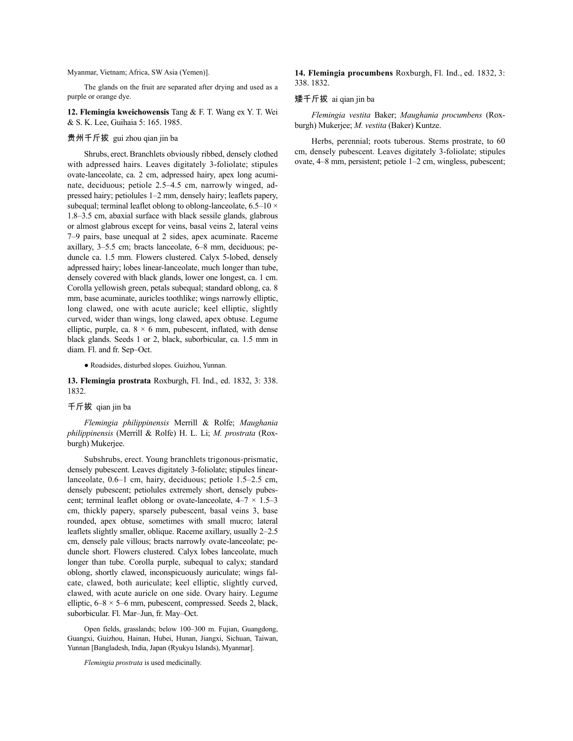# Myanmar, Vietnam; Africa, SW Asia (Yemen)].

The glands on the fruit are separated after drying and used as a purple or orange dye.

**12. Flemingia kweichowensis** Tang & F. T. Wang ex Y. T. Wei & S. K. Lee, Guihaia 5: 165. 1985.

# 贵州千斤拔 gui zhou qian jin ba

Shrubs, erect.Branchlets obviously ribbed, densely clothed with adpressed hairs. Leaves digitately 3-foliolate; stipules ovate-lanceolate, ca. 2 cm, adpressed hairy, apex long acuminate, deciduous; petiole 2.5–4.5 cm, narrowly winged, adpressed hairy; petiolules 1–2 mm, densely hairy; leaflets papery, subequal; terminal leaflet oblong to oblong-lanceolate,  $6.5-10 \times$ 1.8–3.5 cm, abaxial surface with black sessile glands, glabrous or almost glabrous except for veins, basal veins 2, lateral veins 7–9 pairs, base unequal at 2 sides, apex acuminate. Raceme axillary, 3–5.5 cm; bracts lanceolate, 6–8 mm, deciduous; peduncle ca. 1.5 mm. Flowers clustered. Calyx 5-lobed, densely adpressed hairy; lobes linear-lanceolate, much longer than tube, densely covered with black glands, lower one longest, ca. 1 cm. Corolla yellowish green, petals subequal; standard oblong, ca. 8 mm, base acuminate, auricles toothlike; wings narrowly elliptic, long clawed, one with acute auricle; keel elliptic, slightly curved, wider than wings, long clawed, apex obtuse. Legume elliptic, purple, ca.  $8 \times 6$  mm, pubescent, inflated, with dense black glands. Seeds 1 or 2, black, suborbicular, ca. 1.5 mm in diam. Fl. and fr. Sep–Oct.

● Roadsides, disturbed slopes. Guizhou, Yunnan.

## **13. Flemingia prostrata** Roxburgh, Fl. Ind., ed. 1832, 3: 338. 1832.

## 千斤拔 qian jin ba

*Flemingia philippinensis* Merrill & Rolfe; *Maughania philippinensis* (Merrill & Rolfe) H. L. Li; *M. prostrata* (Roxburgh) Mukerjee.

Subshrubs, erect. Young branchlets trigonous-prismatic, densely pubescent. Leaves digitately 3-foliolate; stipules linearlanceolate, 0.6–1 cm, hairy, deciduous; petiole 1.5–2.5 cm, densely pubescent; petiolules extremely short, densely pubescent; terminal leaflet oblong or ovate-lanceolate,  $4-7 \times 1.5-3$ cm, thickly papery, sparsely pubescent, basal veins 3, base rounded, apex obtuse, sometimes with small mucro; lateral leaflets slightly smaller, oblique. Raceme axillary, usually 2–2.5 cm, densely pale villous; bracts narrowly ovate-lanceolate; peduncle short. Flowers clustered. Calyx lobes lanceolate, much longer than tube. Corolla purple, subequal to calyx; standard oblong, shortly clawed, inconspicuously auriculate; wings falcate, clawed, both auriculate; keel elliptic, slightly curved, clawed, with acute auricle on one side. Ovary hairy. Legume elliptic,  $6-8 \times 5-6$  mm, pubescent, compressed. Seeds 2, black, suborbicular. Fl. Mar–Jun, fr. May–Oct.

Open fields, grasslands; below 100–300 m. Fujian, Guangdong, Guangxi, Guizhou, Hainan, Hubei, Hunan, Jiangxi, Sichuan, Taiwan, Yunnan [Bangladesh, India, Japan (Ryukyu Islands), Myanmar].

*Flemingia prostrata* is used medicinally.

### **14. Flemingia procumbens** Roxburgh, Fl. Ind., ed. 1832, 3: 338. 1832.

#### 矮千斤拔 ai qian jin ba

*Flemingia vestita* Baker; *Maughania procumbens* (Roxburgh) Mukerjee; *M. vestita* (Baker) Kuntze.

Herbs, perennial; roots tuberous. Stems prostrate, to 60 cm, densely pubescent. Leaves digitately 3-foliolate; stipules ovate, 4–8 mm, persistent; petiole 1–2 cm, wingless, pubescent;